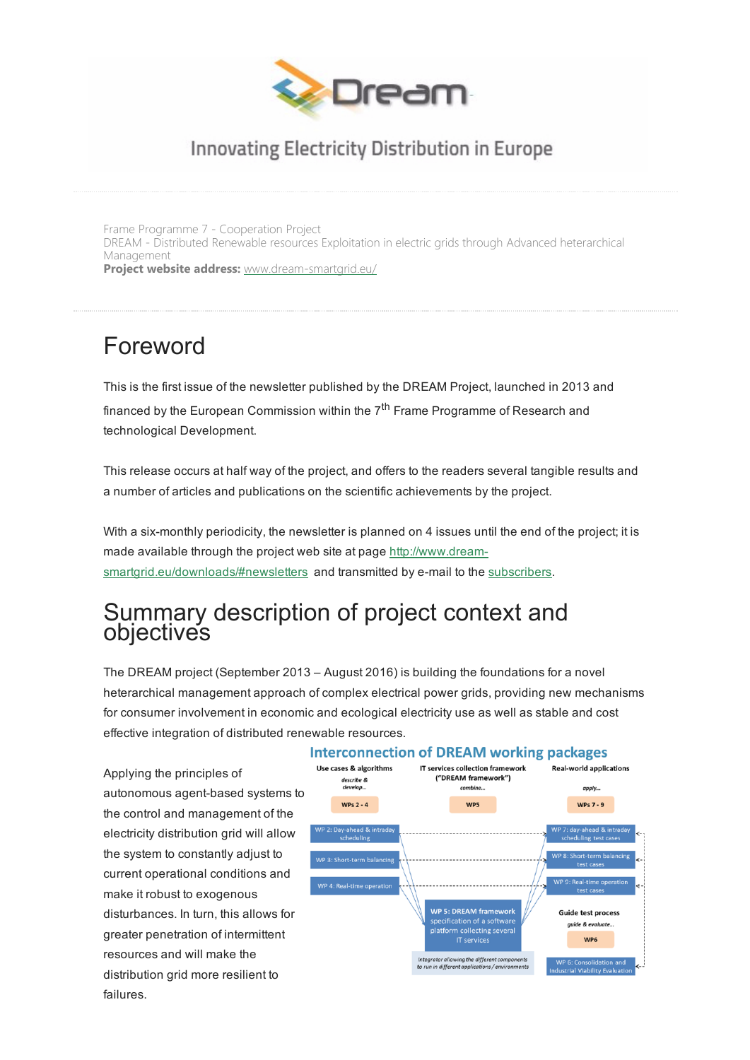

### Innovating Electricity Distribution in Europe

Frame Programme 7 - Cooperation Project DREAM - Distributed Renewable resources Exploitation in electric grids through Advanced heterarchical Management Project website address: [www.dream-smartgrid.eu/](http://www.dream-smartgrid.eu/)

## Foreword

This is the first issue of the newsletter published by the DREAM Project, launched in 2013 and financed by the European Commission within the 7<sup>th</sup> Frame Programme of Research and technological Development.

This release occurs at half way of the project, and offers to the readers several tangible results and a number of articles and publications on the scientific achievements by the project.

With a six-monthly periodicity, the newsletter is planned on 4 issues until the end of the project; it is made available through the project web site at page http://www.dream[smartgrid.eu/downloads/#newsletters](http://www.dream-smartgrid.eu/downloads/#newsletters) and transmitted by e-mail to the [subscribers.](http://www.dream-smartgrid.eu/sign-in/)

### Summary description of project context and objectives

The DREAM project (September 2013 – August 2016) is building the foundations for a novel heterarchical management approach of complex electrical power grids, providing new mechanisms for consumer involvement in economic and ecological electricity use as well as stable and cost effective integration of distributed renewable resources.

Applying the principles of autonomous agent-based systems to the control and management of the electricity distribution grid will allow the system to constantly adjust to current operational conditions and make it robust to exogenous disturbances. In turn, this allows for greater penetration of intermittent resources and will make the distribution grid more resilient to failures.

#### **Interconnection of DREAM working packages**

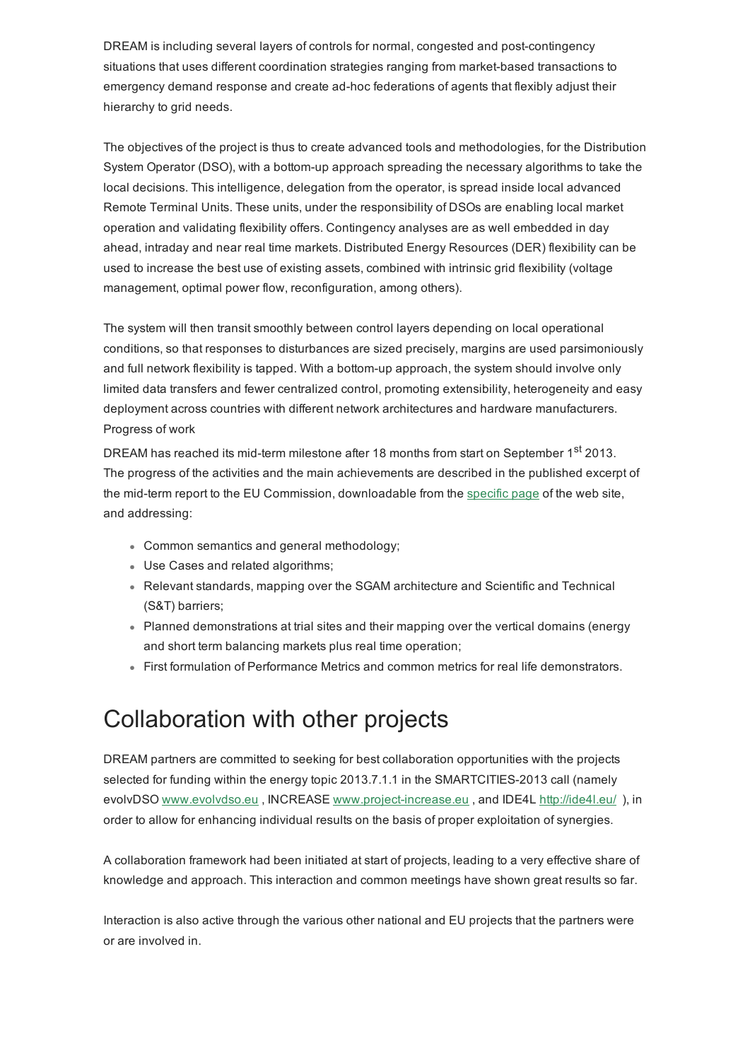DREAM is including several layers of controls for normal, congested and post-contingency situations that uses different coordination strategies ranging from market-based transactions to emergency demand response and create ad-hoc federations of agents that flexibly adjust their hierarchy to grid needs.

The objectives of the project is thus to create advanced tools and methodologies, for the Distribution System Operator (DSO), with a bottom-up approach spreading the necessary algorithms to take the local decisions. This intelligence, delegation from the operator, is spread inside local advanced Remote Terminal Units. These units, under the responsibility of DSOs are enabling local market operation and validating flexibility offers. Contingency analyses are as well embedded in day ahead, intraday and near real time markets. Distributed Energy Resources (DER) flexibility can be used to increase the best use of existing assets, combined with intrinsic grid flexibility (voltage management, optimal power flow, reconfiguration, among others).

The system will then transit smoothly between control layers depending on local operational conditions, so that responses to disturbances are sized precisely, margins are used parsimoniously and full network flexibility is tapped. With a bottom-up approach, the system should involve only limited data transfers and fewer centralized control, promoting extensibility, heterogeneity and easy deployment across countries with different network architectures and hardware manufacturers. Progress of work

DREAM has reached its mid-term milestone after 18 months from start on September 1<sup>st</sup> 2013. The progress of the activities and the main achievements are described in the published excerpt of the mid-term report to the EU Commission, downloadable from the [specific](http://www.dream-smartgrid.eu/downloads/) page of the web site, and addressing:

- Common semantics and general methodology;
- Use Cases and related algorithms;
- Relevant standards, mapping over the SGAM architecture and Scientific and Technical (S&T) barriers;
- Planned demonstrations at trial sites and their mapping over the vertical domains (energy and short term balancing markets plus real time operation;
- First formulation of Performance Metrics and common metrics for real life demonstrators.

## Collaboration with other projects

DREAM partners are committed to seeking for best collaboration opportunities with the projects selected for funding within the energy topic 2013.7.1.1 in the SMARTCITIES-2013 call (namely evolvDSO [www.evolvdso.eu](http://www.evolvdso.eu/), INCREASE www.project-increase.eu, and IDE4L <http://ide4l.eu/>), in order to allow for enhancing individual results on the basis of proper exploitation of synergies.

A collaboration framework had been initiated at start of projects, leading to a very effective share of knowledge and approach. This interaction and common meetings have shown great results so far.

Interaction is also active through the various other national and EU projects that the partners were or are involved in.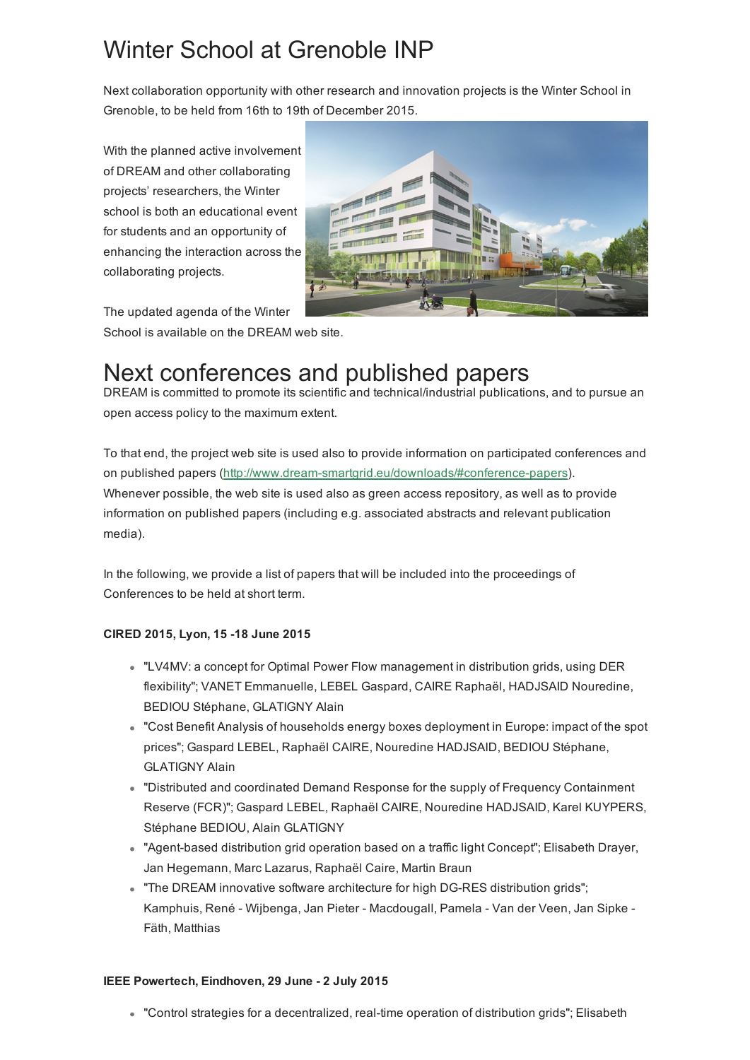# Winter School at Grenoble INP

Next collaboration opportunity with other research and innovation projects is the Winter School in Grenoble, to be held from 16th to 19th of December 2015.

With the planned active involvement of DREAM and other collaborating projects' researchers, the Winter school is both an educational event for students and an opportunity of enhancing the interaction across the collaborating projects.



The updated agenda of the Winter School is available on the DREAM web site.

# Next conferences and published papers

DREAM is committed to promote its scientific and technical/industrial publications, and to pursue an open access policy to the maximum extent.

To that end, the project web site is used also to provide information on participated conferences and on published papers (http://www.dream-smartgrid.eu/downloads/#conference-papers). Whenever possible, the web site is used also as green access repository, as well as to provide information on published papers (including e.g. associated abstracts and relevant publication media).

In the following, we provide a list of papers that will be included into the proceedings of Conferences to be held at short term.

### CIRED 2015, Lyon, 15 18 June 2015

- "LV4MV: a concept for Optimal Power Flow management in distribution grids, using DER flexibility"; VANET Emmanuelle, LEBEL Gaspard, CAIRE Raphaël, HADJSAID Nouredine, BEDIOU Stéphane, GLATIGNY Alain
- "Cost Benefit Analysis of households energy boxes deployment in Europe: impact of the spot prices"; Gaspard LEBEL, Raphaël CAIRE, Nouredine HADJSAID, BEDIOU Stéphane, GLATIGNY Alain
- "Distributed and coordinated Demand Response for the supply of Frequency Containment Reserve (FCR)"; Gaspard LEBEL, Raphaël CAIRE, Nouredine HADJSAID, Karel KUYPERS, Stéphane BEDIOU, Alain GLATIGNY
- . "Agent-based distribution grid operation based on a traffic light Concept"; Elisabeth Drayer, Jan Hegemann, Marc Lazarus, Raphaël Caire, Martin Braun
- . "The DREAM innovative software architecture for high DG-RES distribution grids"; Kamphuis, René - Wijbenga, Jan Pieter - Macdougall, Pamela - Van der Veen, Jan Sipke -Fäth, Matthias

#### IEEE Powertech, Eindhoven, 29 June - 2 July 2015

• "Control strategies for a decentralized, real-time operation of distribution grids"; Elisabeth